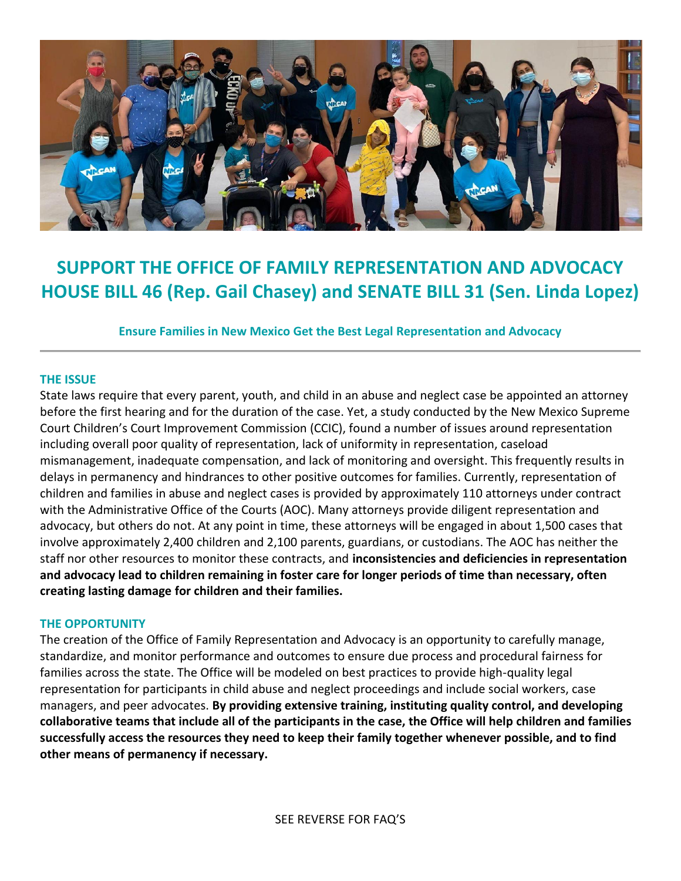

# **SUPPORT THE OFFICE OF FAMILY REPRESENTATION AND ADVOCACY HOUSE BILL 46 (Rep. Gail Chasey) and SENATE BILL 31 (Sen. Linda Lopez)**

**Ensure Families in New Mexico Get the Best Legal Representation and Advocacy** 

## **THE ISSUE**

State laws require that every parent, youth, and child in an abuse and neglect case be appointed an attorney before the first hearing and for the duration of the case. Yet, a study conducted by the New Mexico Supreme Court Children's Court Improvement Commission (CCIC), found a number of issues around representation including overall poor quality of representation, lack of uniformity in representation, caseload mismanagement, inadequate compensation, and lack of monitoring and oversight. This frequently results in delays in permanency and hindrances to other positive outcomes for families. Currently, representation of children and families in abuse and neglect cases is provided by approximately 110 attorneys under contract with the Administrative Office of the Courts (AOC). Many attorneys provide diligent representation and advocacy, but others do not. At any point in time, these attorneys will be engaged in about 1,500 cases that involve approximately 2,400 children and 2,100 parents, guardians, or custodians. The AOC has neither the staff nor other resources to monitor these contracts, and **inconsistencies and deficiencies in representation and advocacy lead to children remaining in foster care for longer periods of time than necessary, often creating lasting damage for children and their families.** 

## **THE OPPORTUNITY**

The creation of the Office of Family Representation and Advocacy is an opportunity to carefully manage, standardize, and monitor performance and outcomes to ensure due process and procedural fairness for families across the state. The Office will be modeled on best practices to provide high-quality legal representation for participants in child abuse and neglect proceedings and include social workers, case managers, and peer advocates. **By providing extensive training, instituting quality control, and developing collaborative teams that include all of the participants in the case, the Office will help children and families successfully access the resources they need to keep their family together whenever possible, and to find other means of permanency if necessary.**